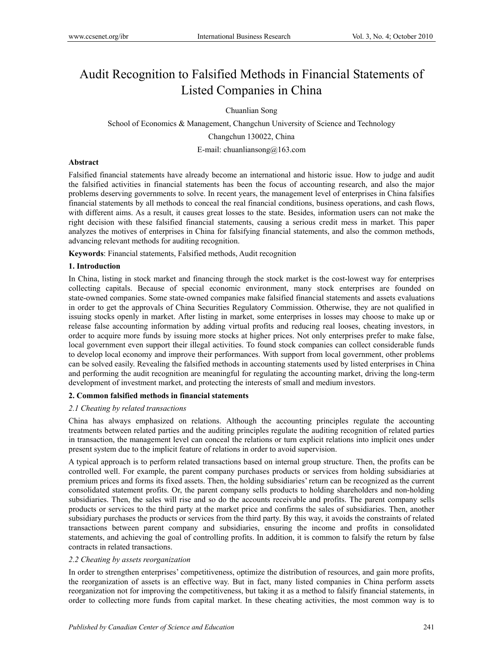# Audit Recognition to Falsified Methods in Financial Statements of Listed Companies in China

Chuanlian Song

School of Economics & Management, Changchun University of Science and Technology Changchun 130022, China

E-mail: chuanliansong@163.com

# **Abstract**

Falsified financial statements have already become an international and historic issue. How to judge and audit the falsified activities in financial statements has been the focus of accounting research, and also the major problems deserving governments to solve. In recent years, the management level of enterprises in China falsifies financial statements by all methods to conceal the real financial conditions, business operations, and cash flows, with different aims. As a result, it causes great losses to the state. Besides, information users can not make the right decision with these falsified financial statements, causing a serious credit mess in market. This paper analyzes the motives of enterprises in China for falsifying financial statements, and also the common methods, advancing relevant methods for auditing recognition.

**Keywords**: Financial statements, Falsified methods, Audit recognition

# **1. Introduction**

In China, listing in stock market and financing through the stock market is the cost-lowest way for enterprises collecting capitals. Because of special economic environment, many stock enterprises are founded on state-owned companies. Some state-owned companies make falsified financial statements and assets evaluations in order to get the approvals of China Securities Regulatory Commission. Otherwise, they are not qualified in issuing stocks openly in market. After listing in market, some enterprises in losses may choose to make up or release false accounting information by adding virtual profits and reducing real looses, cheating investors, in order to acquire more funds by issuing more stocks at higher prices. Not only enterprises prefer to make false, local government even support their illegal activities. To found stock companies can collect considerable funds to develop local economy and improve their performances. With support from local government, other problems can be solved easily. Revealing the falsified methods in accounting statements used by listed enterprises in China and performing the audit recognition are meaningful for regulating the accounting market, driving the long-term development of investment market, and protecting the interests of small and medium investors.

# **2. Common falsified methods in financial statements**

# *2.1 Cheating by related transactions*

China has always emphasized on relations. Although the accounting principles regulate the accounting treatments between related parties and the auditing principles regulate the auditing recognition of related parties in transaction, the management level can conceal the relations or turn explicit relations into implicit ones under present system due to the implicit feature of relations in order to avoid supervision.

A typical approach is to perform related transactions based on internal group structure. Then, the profits can be controlled well. For example, the parent company purchases products or services from holding subsidiaries at premium prices and forms its fixed assets. Then, the holding subsidiaries' return can be recognized as the current consolidated statement profits. Or, the parent company sells products to holding shareholders and non-holding subsidiaries. Then, the sales will rise and so do the accounts receivable and profits. The parent company sells products or services to the third party at the market price and confirms the sales of subsidiaries. Then, another subsidiary purchases the products or services from the third party. By this way, it avoids the constraints of related transactions between parent company and subsidiaries, ensuring the income and profits in consolidated statements, and achieving the goal of controlling profits. In addition, it is common to falsify the return by false contracts in related transactions.

# *2.2 Cheating by assets reorganization*

In order to strengthen enterprises' competitiveness, optimize the distribution of resources, and gain more profits, the reorganization of assets is an effective way. But in fact, many listed companies in China perform assets reorganization not for improving the competitiveness, but taking it as a method to falsify financial statements, in order to collecting more funds from capital market. In these cheating activities, the most common way is to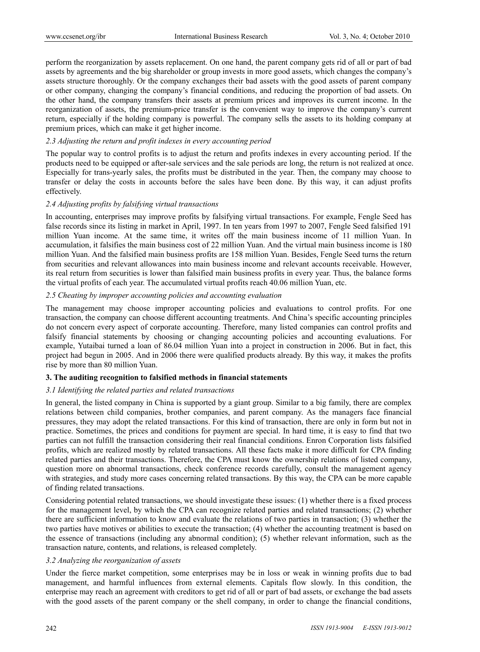perform the reorganization by assets replacement. On one hand, the parent company gets rid of all or part of bad assets by agreements and the big shareholder or group invests in more good assets, which changes the company's assets structure thoroughly. Or the company exchanges their bad assets with the good assets of parent company or other company, changing the company's financial conditions, and reducing the proportion of bad assets. On the other hand, the company transfers their assets at premium prices and improves its current income. In the reorganization of assets, the premium-price transfer is the convenient way to improve the company's current return, especially if the holding company is powerful. The company sells the assets to its holding company at premium prices, which can make it get higher income.

# *2.3 Adjusting the return and profit indexes in every accounting period*

The popular way to control profits is to adjust the return and profits indexes in every accounting period. If the products need to be equipped or after-sale services and the sale periods are long, the return is not realized at once. Especially for trans-yearly sales, the profits must be distributed in the year. Then, the company may choose to transfer or delay the costs in accounts before the sales have been done. By this way, it can adjust profits effectively.

#### *2.4 Adjusting profits by falsifying virtual transactions*

In accounting, enterprises may improve profits by falsifying virtual transactions. For example, Fengle Seed has false records since its listing in market in April, 1997. In ten years from 1997 to 2007, Fengle Seed falsified 191 million Yuan income. At the same time, it writes off the main business income of 11 million Yuan. In accumulation, it falsifies the main business cost of 22 million Yuan. And the virtual main business income is 180 million Yuan. And the falsified main business profits are 158 million Yuan. Besides, Fengle Seed turns the return from securities and relevant allowances into main business income and relevant accounts receivable. However, its real return from securities is lower than falsified main business profits in every year. Thus, the balance forms the virtual profits of each year. The accumulated virtual profits reach 40.06 million Yuan, etc.

#### *2.5 Cheating by improper accounting policies and accounting evaluation*

The management may choose improper accounting policies and evaluations to control profits. For one transaction, the company can choose different accounting treatments. And China's specific accounting principles do not concern every aspect of corporate accounting. Therefore, many listed companies can control profits and falsify financial statements by choosing or changing accounting policies and accounting evaluations. For example, Yutaibai turned a loan of 86.04 million Yuan into a project in construction in 2006. But in fact, this project had begun in 2005. And in 2006 there were qualified products already. By this way, it makes the profits rise by more than 80 million Yuan.

#### **3. The auditing recognition to falsified methods in financial statements**

#### *3.1 Identifying the related parties and related transactions*

In general, the listed company in China is supported by a giant group. Similar to a big family, there are complex relations between child companies, brother companies, and parent company. As the managers face financial pressures, they may adopt the related transactions. For this kind of transaction, there are only in form but not in practice. Sometimes, the prices and conditions for payment are special. In hard time, it is easy to find that two parties can not fulfill the transaction considering their real financial conditions. Enron Corporation lists falsified profits, which are realized mostly by related transactions. All these facts make it more difficult for CPA finding related parties and their transactions. Therefore, the CPA must know the ownership relations of listed company, question more on abnormal transactions, check conference records carefully, consult the management agency with strategies, and study more cases concerning related transactions. By this way, the CPA can be more capable of finding related transactions.

Considering potential related transactions, we should investigate these issues: (1) whether there is a fixed process for the management level, by which the CPA can recognize related parties and related transactions; (2) whether there are sufficient information to know and evaluate the relations of two parties in transaction; (3) whether the two parties have motives or abilities to execute the transaction; (4) whether the accounting treatment is based on the essence of transactions (including any abnormal condition); (5) whether relevant information, such as the transaction nature, contents, and relations, is released completely.

#### *3.2 Analyzing the reorganization of assets*

Under the fierce market competition, some enterprises may be in loss or weak in winning profits due to bad management, and harmful influences from external elements. Capitals flow slowly. In this condition, the enterprise may reach an agreement with creditors to get rid of all or part of bad assets, or exchange the bad assets with the good assets of the parent company or the shell company, in order to change the financial conditions,